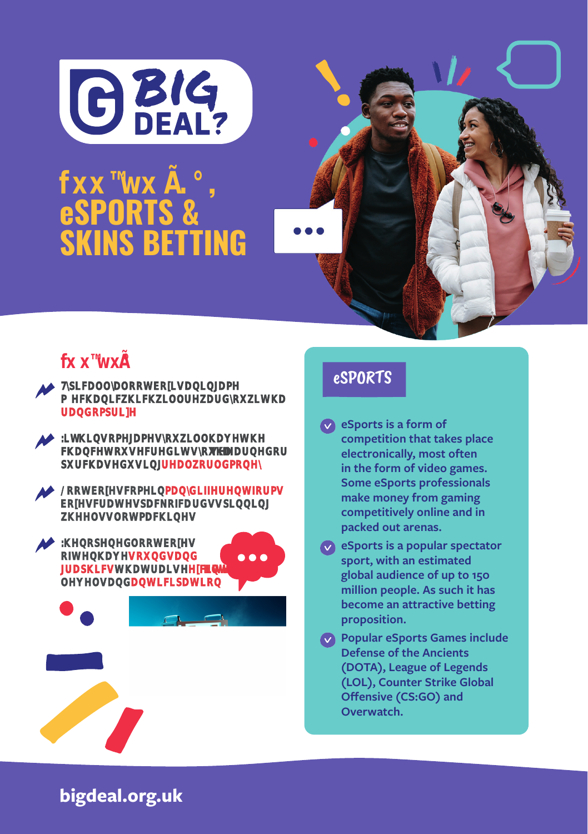

#### **PROBLEM GAMBLE**<br>PROBLEM GAMBLE AND CONTROL CONTROL CONTROL CONTROL CONTROL CONTROL CONTROL CONTROL CONTROL CONTROL CONTROL CONTROL CONTROL CONTROL CONTROL CONTROL CONTROL CONTROL CONTROL CONTROL CONTROL CONTROL CONTROL CO where the state of the state of the state of the state of the state of the state of the state of the state of the state of the state of the state of the state of the state of the state of the state of the state of the stat **fx x ª-wx Ì . ¡** , eSPORTS & SKINS BETTING





#### eSPORTS

- **eSports is a form of competition that takes place electronically, most often in the form of video games. Some eSports professionals make money from gaming competitively online and in packed out arenas.**
- **eSports is a popular spectator sport, with an estimated global audience of up to 150 million people. As such it has become an attractive betting proposition.**
- **Popular eSports Games include Defense of the Ancients (DOTA), League of Legends (LOL), Counter Strike Global Offensive (CS:GO) and Overwatch.**

**bigdeal.org.uk**